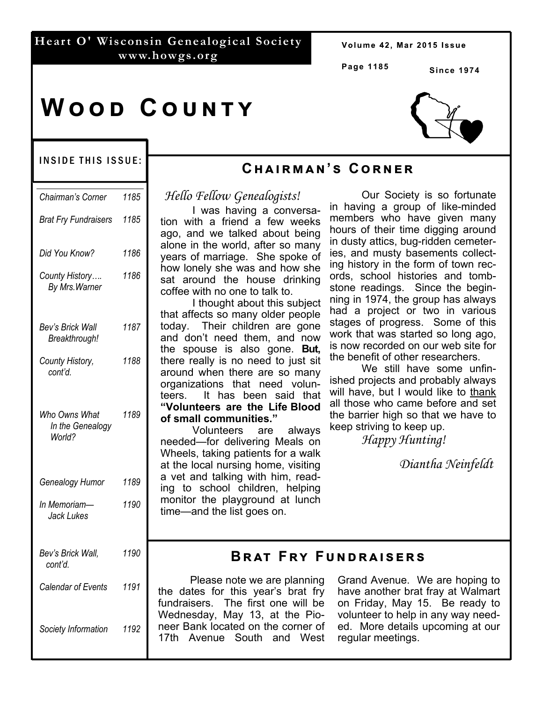### **Heart O' Wisconsin Genealogical Society www.howgs.org**

Volume 42, Mar 2015 Issue

**Page 1185**

**Since 1974** 

# **WOOD COUNTY**

#### INSIDE THIS ISSUE:

| Chairman's Corner                           | 1185 |
|---------------------------------------------|------|
| <b>Brat Fry Fundraisers</b>                 | 1185 |
| Did You Know?                               | 1186 |
| County History<br>By Mrs. Warner            | 1186 |
| Bev's Brick Wall<br>Breakthrough!           | 1187 |
| County History,<br>cont'd.                  | 1188 |
| Who Owns What<br>In the Genealogy<br>World? | 1189 |
| Genealogy Humor                             | 1189 |
| In Memoriam—<br>Jack Lukes                  | 1190 |
| Bev's Brick Wall,<br>cont'd.                | 1190 |
| Calendar of Events                          | 1191 |
| Society Information                         | 1192 |

# **Cඐඉඑකඕඉඖ'ඛ Cකඖඍක**

*Hello Fellow Genealogists!*

 I was having a conversation with a friend a few weeks ago, and we talked about being alone in the world, after so many years of marriage. She spoke of how lonely she was and how she sat around the house drinking coffee with no one to talk to.

 I thought about this subject that affects so many older people today. Their children are gone and don't need them, and now the spouse is also gone. **But,** there really is no need to just sit around when there are so many organizations that need volunteers. It has been said that **"Volunteers are the Life Blood of small communities."**

 Volunteers are always needed—for delivering Meals on Wheels, taking patients for a walk at the local nursing home, visiting a vet and talking with him, reading to school children, helping monitor the playground at lunch time—and the list goes on.

 Our Society is so fortunate in having a group of like-minded members who have given many hours of their time digging around in dusty attics, bug-ridden cemeteries, and musty basements collecting history in the form of town records, school histories and tombstone readings. Since the beginning in 1974, the group has always had a project or two in various stages of progress. Some of this work that was started so long ago, is now recorded on our web site for the benefit of other researchers.

 We still have some unfinished projects and probably always will have, but I would like to thank all those who came before and set the barrier high so that we have to keep striving to keep up.

 *Happy Hunting!* 

 *Diantha Neinfeldt*

## **BRAT FRY FUNDRAISERS**

 Please note we are planning the dates for this year's brat fry fundraisers. The first one will be Wednesday, May 13, at the Pioneer Bank located on the corner of 17th Avenue South and West

Grand Avenue. We are hoping to have another brat fray at Walmart on Friday, May 15. Be ready to volunteer to help in any way needed. More details upcoming at our regular meetings.

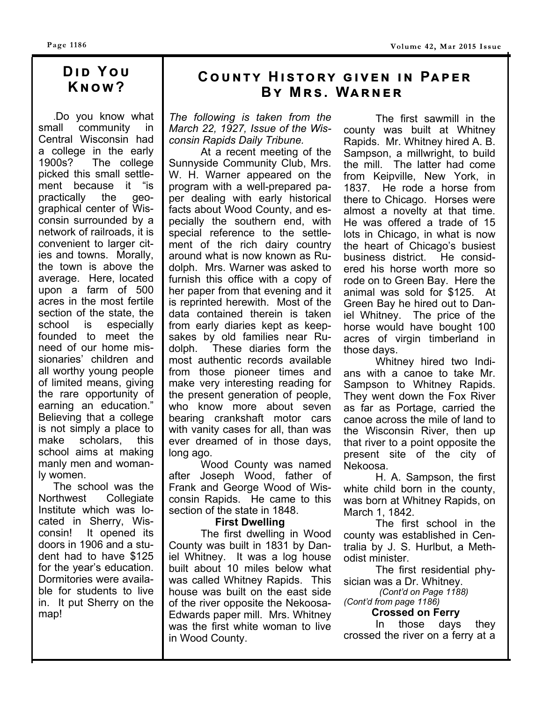# **DID YOU Kඖඟ?**

 .Do you know what small community in Central Wisconsin had a college in the early 1900s? The college picked this small settlement because it "is practically the geographical center of Wisconsin surrounded by a network of railroads, it is convenient to larger cities and towns. Morally, the town is above the average. Here, located upon a farm of 500 acres in the most fertile section of the state, the school is especially founded to meet the need of our home missionaries' children and all worthy young people of limited means, giving the rare opportunity of earning an education." Believing that a college is not simply a place to make scholars, this school aims at making manly men and womanly women.

 The school was the Northwest Collegiate Institute which was located in Sherry, Wisconsin! It opened its doors in 1906 and a student had to have \$125 for the year's education. Dormitories were available for students to live in. It put Sherry on the map!

# $C$ **OUNTY HISTORY GIVEN IN PAPER BY MRS. WARNER**

*The following is taken from the March 22, 1927, Issue of the Wisconsin Rapids Daily Tribune.* 

 At a recent meeting of the Sunnyside Community Club, Mrs. W. H. Warner appeared on the program with a well-prepared paper dealing with early historical facts about Wood County, and especially the southern end, with special reference to the settlement of the rich dairy country around what is now known as Rudolph. Mrs. Warner was asked to furnish this office with a copy of her paper from that evening and it is reprinted herewith. Most of the data contained therein is taken from early diaries kept as keepsakes by old families near Rudolph. These diaries form the most authentic records available from those pioneer times and make very interesting reading for the present generation of people, who know more about seven bearing crankshaft motor cars with vanity cases for all, than was ever dreamed of in those days, long ago.

 Wood County was named after Joseph Wood, father of Frank and George Wood of Wisconsin Rapids. He came to this section of the state in 1848.

#### **First Dwelling**

 The first dwelling in Wood County was built in 1831 by Daniel Whitney. It was a log house built about 10 miles below what was called Whitney Rapids. This house was built on the east side of the river opposite the Nekoosa-Edwards paper mill. Mrs. Whitney was the first white woman to live in Wood County.

 The first sawmill in the county was built at Whitney Rapids. Mr. Whitney hired A. B. Sampson, a millwright, to build the mill. The latter had come from Keipville, New York, in 1837. He rode a horse from there to Chicago. Horses were almost a novelty at that time. He was offered a trade of 15 lots in Chicago, in what is now the heart of Chicago's busiest business district. He considered his horse worth more so rode on to Green Bay. Here the animal was sold for \$125. At Green Bay he hired out to Daniel Whitney. The price of the horse would have bought 100 acres of virgin timberland in those days.

 Whitney hired two Indians with a canoe to take Mr. Sampson to Whitney Rapids. They went down the Fox River as far as Portage, carried the canoe across the mile of land to the Wisconsin River, then up that river to a point opposite the present site of the city of Nekoosa.

 H. A. Sampson, the first white child born in the county, was born at Whitney Rapids, on March 1, 1842.

 The first school in the county was established in Centralia by J. S. Hurlbut, a Methodist minister.

 The first residential physician was a Dr. Whitney.

 *(Cont'd on Page 1188) (Cont'd from page 1186)* 

#### **Crossed on Ferry**

In those days they crossed the river on a ferry at a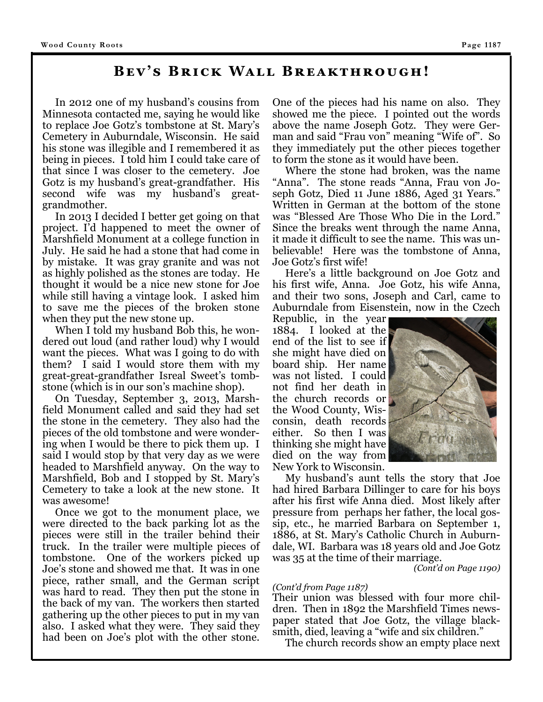### **BEV'S BRICK WALL BREAKTHROUGH!**

 In 2012 one of my husband's cousins from Minnesota contacted me, saying he would like to replace Joe Gotz's tombstone at St. Mary's Cemetery in Auburndale, Wisconsin. He said his stone was illegible and I remembered it as being in pieces. I told him I could take care of that since I was closer to the cemetery. Joe Gotz is my husband's great-grandfather. His second wife was my husband's greatgrandmother.

 In 2013 I decided I better get going on that project. I'd happened to meet the owner of Marshfield Monument at a college function in July. He said he had a stone that had come in by mistake. It was gray granite and was not as highly polished as the stones are today. He thought it would be a nice new stone for Joe while still having a vintage look. I asked him to save me the pieces of the broken stone when they put the new stone up.

 When I told my husband Bob this, he wondered out loud (and rather loud) why I would want the pieces. What was I going to do with them? I said I would store them with my great-great-grandfather Isreal Sweet's tombstone (which is in our son's machine shop).

 On Tuesday, September 3, 2013, Marshfield Monument called and said they had set the stone in the cemetery. They also had the pieces of the old tombstone and were wondering when I would be there to pick them up. I said I would stop by that very day as we were headed to Marshfield anyway. On the way to Marshfield, Bob and I stopped by St. Mary's Cemetery to take a look at the new stone. It was awesome!

 Once we got to the monument place, we were directed to the back parking lot as the pieces were still in the trailer behind their truck. In the trailer were multiple pieces of tombstone. One of the workers picked up Joe's stone and showed me that. It was in one piece, rather small, and the German script was hard to read. They then put the stone in the back of my van. The workers then started gathering up the other pieces to put in my van also. I asked what they were. They said they had been on Joe's plot with the other stone. One of the pieces had his name on also. They showed me the piece. I pointed out the words above the name Joseph Gotz. They were German and said "Frau von" meaning "Wife of". So they immediately put the other pieces together to form the stone as it would have been.

 Where the stone had broken, was the name "Anna". The stone reads "Anna, Frau von Joseph Gotz, Died 11 June 1886, Aged 31 Years." Written in German at the bottom of the stone was "Blessed Are Those Who Die in the Lord." Since the breaks went through the name Anna, it made it difficult to see the name. This was unbelievable! Here was the tombstone of Anna, Joe Gotz's first wife!

 Here's a little background on Joe Gotz and his first wife, Anna. Joe Gotz, his wife Anna, and their two sons, Joseph and Carl, came to Auburndale from Eisenstein, now in the Czech

Republic, in the year 1884. I looked at the end of the list to see if she might have died on board ship. Her name was not listed. I could not find her death in the church records or the Wood County, Wisconsin, death records either. So then I was thinking she might have died on the way from New York to Wisconsin.



 My husband's aunt tells the story that Joe had hired Barbara Dillinger to care for his boys after his first wife Anna died. Most likely after pressure from perhaps her father, the local gossip, etc., he married Barbara on September 1, 1886, at St. Mary's Catholic Church in Auburndale, WI. Barbara was 18 years old and Joe Gotz was 35 at the time of their marriage.

*(Cont'd on Page 1190)* 

#### *(Cont'd from Page 1187)*

Their union was blessed with four more children. Then in 1892 the Marshfield Times newspaper stated that Joe Gotz, the village blacksmith, died, leaving a "wife and six children."

The church records show an empty place next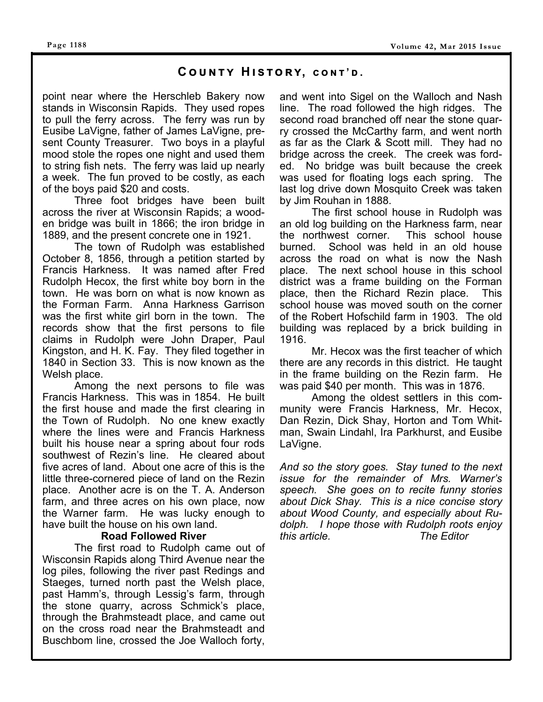#### **Page 1188**

#### $C$  **COUNTY HISTORY, CONT'D.**

point near where the Herschleb Bakery now stands in Wisconsin Rapids. They used ropes to pull the ferry across. The ferry was run by Eusibe LaVigne, father of James LaVigne, present County Treasurer. Two boys in a playful mood stole the ropes one night and used them to string fish nets. The ferry was laid up nearly a week. The fun proved to be costly, as each of the boys paid \$20 and costs.

 Three foot bridges have been built across the river at Wisconsin Rapids; a wooden bridge was built in 1866; the iron bridge in 1889, and the present concrete one in 1921.

 The town of Rudolph was established October 8, 1856, through a petition started by Francis Harkness. It was named after Fred Rudolph Hecox, the first white boy born in the town. He was born on what is now known as the Forman Farm. Anna Harkness Garrison was the first white girl born in the town. The records show that the first persons to file claims in Rudolph were John Draper, Paul Kingston, and H. K. Fay. They filed together in 1840 in Section 33. This is now known as the Welsh place.

 Among the next persons to file was Francis Harkness. This was in 1854. He built the first house and made the first clearing in the Town of Rudolph. No one knew exactly where the lines were and Francis Harkness built his house near a spring about four rods southwest of Rezin's line. He cleared about five acres of land. About one acre of this is the little three-cornered piece of land on the Rezin place. Another acre is on the T. A. Anderson farm, and three acres on his own place, now the Warner farm. He was lucky enough to have built the house on his own land.

#### **Road Followed River**

 The first road to Rudolph came out of Wisconsin Rapids along Third Avenue near the log piles, following the river past Redings and Staeges, turned north past the Welsh place, past Hamm's, through Lessig's farm, through the stone quarry, across Schmick's place, through the Brahmsteadt place, and came out on the cross road near the Brahmsteadt and Buschbom line, crossed the Joe Walloch forty,

and went into Sigel on the Walloch and Nash line. The road followed the high ridges. The second road branched off near the stone quarry crossed the McCarthy farm, and went north as far as the Clark & Scott mill. They had no bridge across the creek. The creek was forded. No bridge was built because the creek was used for floating logs each spring. The last log drive down Mosquito Creek was taken by Jim Rouhan in 1888.

 The first school house in Rudolph was an old log building on the Harkness farm, near the northwest corner. This school house burned. School was held in an old house across the road on what is now the Nash place. The next school house in this school district was a frame building on the Forman place, then the Richard Rezin place. This school house was moved south on the corner of the Robert Hofschild farm in 1903. The old building was replaced by a brick building in 1916.

 Mr. Hecox was the first teacher of which there are any records in this district. He taught in the frame building on the Rezin farm. He was paid \$40 per month. This was in 1876.

 Among the oldest settlers in this community were Francis Harkness, Mr. Hecox, Dan Rezin, Dick Shay, Horton and Tom Whitman, Swain Lindahl, Ira Parkhurst, and Eusibe LaVigne.

*And so the story goes. Stay tuned to the next issue for the remainder of Mrs. Warner's speech. She goes on to recite funny stories about Dick Shay. This is a nice concise story about Wood County, and especially about Rudolph. I hope those with Rudolph roots enjoy this article. The Editor*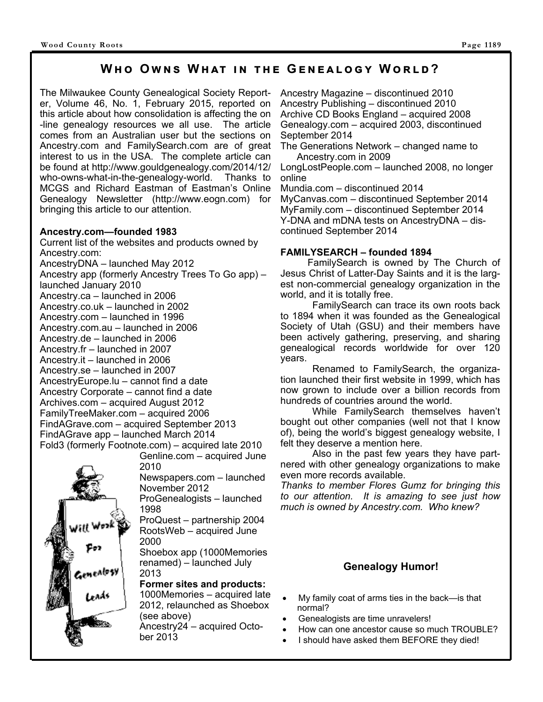### **WHO OWNS WHAT IN THE GENEALOGY WORLD?**

The Milwaukee County Genealogical Society Reporter, Volume 46, No. 1, February 2015, reported on this article about how consolidation is affecting the on -line genealogy resources we all use. The article comes from an Australian user but the sections on Ancestry.com and FamilySearch.com are of great interest to us in the USA. The complete article can be found at http://www.gouldgenealogy.com/2014/12/ who-owns-what-in-the-genealogy-world. Thanks to MCGS and Richard Eastman of Eastman's Online Genealogy Newsletter (http://www.eogn.com) for bringing this article to our attention.

#### **Ancestry.com—founded 1983**

Current list of the websites and products owned by Ancestry.com: AncestryDNA – launched May 2012 Ancestry app (formerly Ancestry Trees To Go app) – launched January 2010 Ancestry.ca – launched in 2006 Ancestry.co.uk – launched in 2002 Ancestry.com – launched in 1996 Ancestry.com.au – launched in 2006 Ancestry.de – launched in 2006 Ancestry.fr – launched in 2007 Ancestry.it – launched in 2006 Ancestry.se – launched in 2007 AncestryEurope.lu – cannot find a date Ancestry Corporate – cannot find a date Archives.com – acquired August 2012 FamilyTreeMaker.com – acquired 2006 FindAGrave.com – acquired September 2013 FindAGrave app – launched March 2014 Fold3 (formerly Footnote.com) – acquired late 2010

Genline.com – acquired June 2010 Newspapers.com – launched November 2012

ProGenealogists – launched 1998

ProQuest – partnership 2004 RootsWeb – acquired June 2000

Shoebox app (1000Memories renamed) – launched July 2013

#### **Former sites and products:**

1000Memories – acquired late 2012, relaunched as Shoebox (see above)

Ancestry24 – acquired October 2013

Ancestry Magazine – discontinued 2010 Ancestry Publishing – discontinued 2010 Archive CD Books England – acquired 2008 Genealogy.com – acquired 2003, discontinued September 2014

The Generations Network – changed name to Ancestry.com in 2009

LongLostPeople.com – launched 2008, no longer online

Mundia.com – discontinued 2014

MyCanvas.com – discontinued September 2014 MyFamily.com – discontinued September 2014 Y-DNA and mDNA tests on AncestryDNA – discontinued September 2014

#### **FAMILYSEARCH – founded 1894**

 FamilySearch is owned by The Church of Jesus Christ of Latter-Day Saints and it is the largest non-commercial genealogy organization in the world, and it is totally free.

 FamilySearch can trace its own roots back to 1894 when it was founded as the Genealogical Society of Utah (GSU) and their members have been actively gathering, preserving, and sharing genealogical records worldwide for over 120 years.

 Renamed to FamilySearch, the organization launched their first website in 1999, which has now grown to include over a billion records from hundreds of countries around the world.

 While FamilySearch themselves haven't bought out other companies (well not that I know of), being the world's biggest genealogy website, I felt they deserve a mention here.

 Also in the past few years they have partnered with other genealogy organizations to make even more records available.

*Thanks to member Flores Gumz for bringing this to our attention. It is amazing to see just how much is owned by Ancestry.com. Who knew?* 

### **Genealogy Humor!**

- My family coat of arms ties in the back—is that normal?
- Genealogists are time unravelers!
- How can one ancestor cause so much TROUBLE?
- I should have asked them BEFORE they died!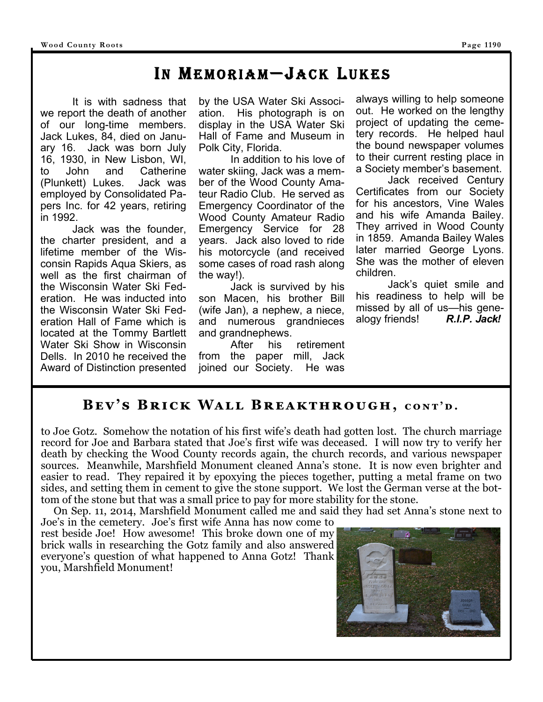# IN MEMORIAM—JACK LUKES

 It is with sadness that we report the death of another of our long-time members. Jack Lukes, 84, died on January 16. Jack was born July 16, 1930, in New Lisbon, WI, to John and Catherine (Plunkett) Lukes. Jack was employed by Consolidated Papers Inc. for 42 years, retiring in 1992.

 Jack was the founder, the charter president, and a lifetime member of the Wisconsin Rapids Aqua Skiers, as well as the first chairman of the Wisconsin Water Ski Federation. He was inducted into the Wisconsin Water Ski Federation Hall of Fame which is located at the Tommy Bartlett Water Ski Show in Wisconsin Dells. In 2010 he received the Award of Distinction presented

by the USA Water Ski Association. His photograph is on display in the USA Water Ski Hall of Fame and Museum in Polk City, Florida.

 In addition to his love of water skiing, Jack was a member of the Wood County Amateur Radio Club. He served as Emergency Coordinator of the Wood County Amateur Radio Emergency Service for 28 years. Jack also loved to ride his motorcycle (and received some cases of road rash along the way!).

 Jack is survived by his son Macen, his brother Bill (wife Jan), a nephew, a niece, and numerous grandnieces and grandnephews.

 After his retirement from the paper mill, Jack joined our Society. He was

always willing to help someone out. He worked on the lengthy project of updating the cemetery records. He helped haul the bound newspaper volumes to their current resting place in a Society member's basement.

 Jack received Century Certificates from our Society for his ancestors, Vine Wales and his wife Amanda Bailey. They arrived in Wood County in 1859. Amanda Bailey Wales later married George Lyons. She was the mother of eleven children.

 Jack's quiet smile and his readiness to help will be missed by all of us—his genealogy friends! *R.I.P. Jack!* 

# **BEV'S BRICK WALL BREAKTHROUGH, CONT'D.**

to Joe Gotz. Somehow the notation of his first wife's death had gotten lost. The church marriage record for Joe and Barbara stated that Joe's first wife was deceased. I will now try to verify her death by checking the Wood County records again, the church records, and various newspaper sources. Meanwhile, Marshfield Monument cleaned Anna's stone. It is now even brighter and easier to read. They repaired it by epoxying the pieces together, putting a metal frame on two sides, and setting them in cement to give the stone support. We lost the German verse at the bottom of the stone but that was a small price to pay for more stability for the stone.

 On Sep. 11, 2014, Marshfield Monument called me and said they had set Anna's stone next to Joe's in the cemetery. Joe's first wife Anna has now come to

rest beside Joe! How awesome! This broke down one of my brick walls in researching the Gotz family and also answered everyone's question of what happened to Anna Gotz! Thank you, Marshfield Monument!

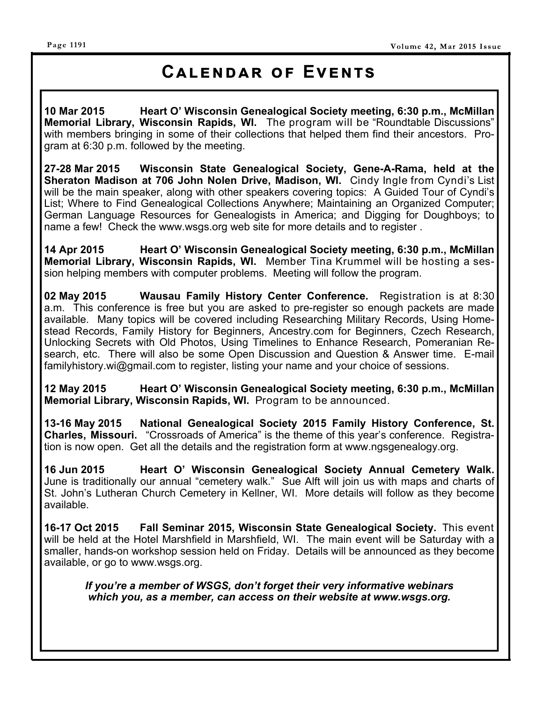#### **Page 1191**

# **CALENDAR OF EVENTS**

**10 Mar 2015 Heart O' Wisconsin Genealogical Society meeting, 6:30 p.m., McMillan Memorial Library, Wisconsin Rapids, WI.** The program will be "Roundtable Discussions" with members bringing in some of their collections that helped them find their ancestors. Program at 6:30 p.m. followed by the meeting.

**27-28 Mar 2015 Wisconsin State Genealogical Society, Gene-A-Rama, held at the Sheraton Madison at 706 John Nolen Drive, Madison, WI. Cindy Ingle from Cyndi's List** will be the main speaker, along with other speakers covering topics: A Guided Tour of Cyndi's List; Where to Find Genealogical Collections Anywhere; Maintaining an Organized Computer; German Language Resources for Genealogists in America; and Digging for Doughboys; to name a few! Check the www.wsgs.org web site for more details and to register .

**14 Apr 2015 Heart O' Wisconsin Genealogical Society meeting, 6:30 p.m., McMillan Memorial Library, Wisconsin Rapids, WI.** Member Tina Krummel will be hosting a session helping members with computer problems. Meeting will follow the program.

**02 May 2015 Wausau Family History Center Conference.** Registration is at 8:30 a.m. This conference is free but you are asked to pre-register so enough packets are made available. Many topics will be covered including Researching Military Records, Using Homestead Records, Family History for Beginners, Ancestry.com for Beginners, Czech Research, Unlocking Secrets with Old Photos, Using Timelines to Enhance Research, Pomeranian Research, etc. There will also be some Open Discussion and Question & Answer time. E-mail familyhistory.wi@gmail.com to register, listing your name and your choice of sessions.

**12 May 2015 Heart O' Wisconsin Genealogical Society meeting, 6:30 p.m., McMillan Memorial Library, Wisconsin Rapids, WI.** Program to be announced.

**13-16 May 2015 National Genealogical Society 2015 Family History Conference, St. Charles, Missouri.** "Crossroads of America" is the theme of this year's conference. Registration is now open. Get all the details and the registration form at www.ngsgenealogy.org.

**16 Jun 2015 Heart O' Wisconsin Genealogical Society Annual Cemetery Walk.**  June is traditionally our annual "cemetery walk." Sue Alft will join us with maps and charts of St. John's Lutheran Church Cemetery in Kellner, WI. More details will follow as they become available.

**16-17 Oct 2015 Fall Seminar 2015, Wisconsin State Genealogical Society.** This event will be held at the Hotel Marshfield in Marshfield, WI. The main event will be Saturday with a smaller, hands-on workshop session held on Friday. Details will be announced as they become available, or go to www.wsgs.org.

*If you're a member of WSGS, don't forget their very informative webinars which you, as a member, can access on their website at www.wsgs.org.*